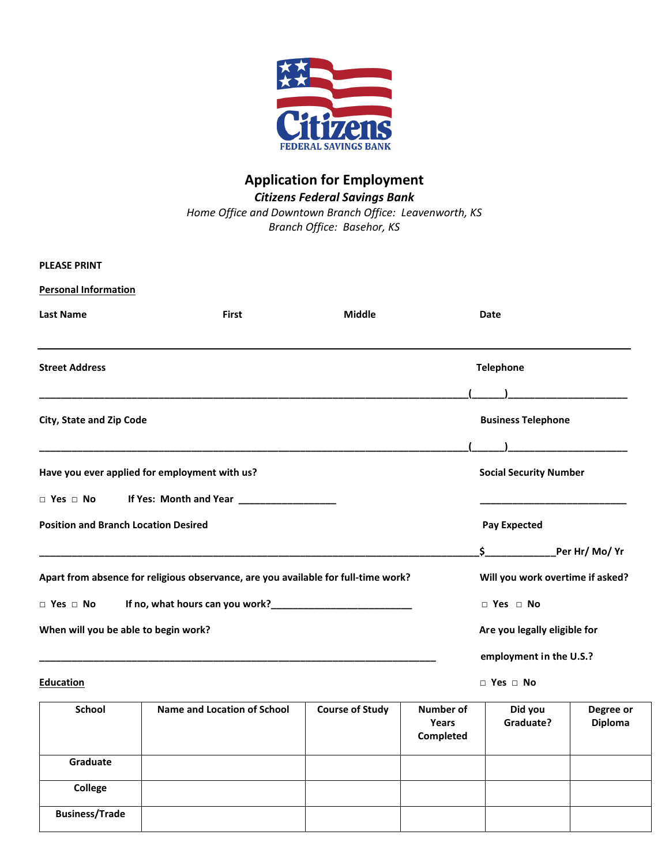

# **Application for Employment** *Citizens Federal Savings Bank Home Office and Downtown Branch Office: Leavenworth, KS*

*Branch Office: Basehor, KS*

| <b>PLEASE PRINT</b>                         |                                                                                                              |               |                               |                                  |
|---------------------------------------------|--------------------------------------------------------------------------------------------------------------|---------------|-------------------------------|----------------------------------|
| <b>Personal Information</b>                 |                                                                                                              |               |                               |                                  |
| <b>Last Name</b>                            | <b>First</b>                                                                                                 | <b>Middle</b> | Date                          |                                  |
| <b>Street Address</b>                       |                                                                                                              |               | <b>Telephone</b>              |                                  |
| <b>City, State and Zip Code</b>             |                                                                                                              |               | <b>Business Telephone</b>     |                                  |
|                                             | Have you ever applied for employment with us?                                                                |               | <b>Social Security Number</b> |                                  |
|                                             |                                                                                                              |               |                               |                                  |
| <b>Position and Branch Location Desired</b> |                                                                                                              |               | <b>Pay Expected</b>           |                                  |
|                                             |                                                                                                              |               | Ś.                            |                                  |
|                                             | Apart from absence for religious observance, are you available for full-time work?                           |               |                               | Will you work overtime if asked? |
|                                             | $\Box$ Yes $\Box$ No If no, what hours can you work?<br>$\Box$ Yes $\Box$ No If no, what hours can you work? |               | $\Box$ Yes $\Box$ No          |                                  |
| When will you be able to begin work?        |                                                                                                              |               |                               | Are you legally eligible for     |
|                                             |                                                                                                              |               |                               | employment in the U.S.?          |

**Education □ Yes □ No**

| School                | <b>Name and Location of School</b> | <b>Course of Study</b> | <b>Number of</b><br>Years<br>Completed | Did you<br>Graduate? | Degree or<br><b>Diploma</b> |
|-----------------------|------------------------------------|------------------------|----------------------------------------|----------------------|-----------------------------|
| Graduate              |                                    |                        |                                        |                      |                             |
| College               |                                    |                        |                                        |                      |                             |
| <b>Business/Trade</b> |                                    |                        |                                        |                      |                             |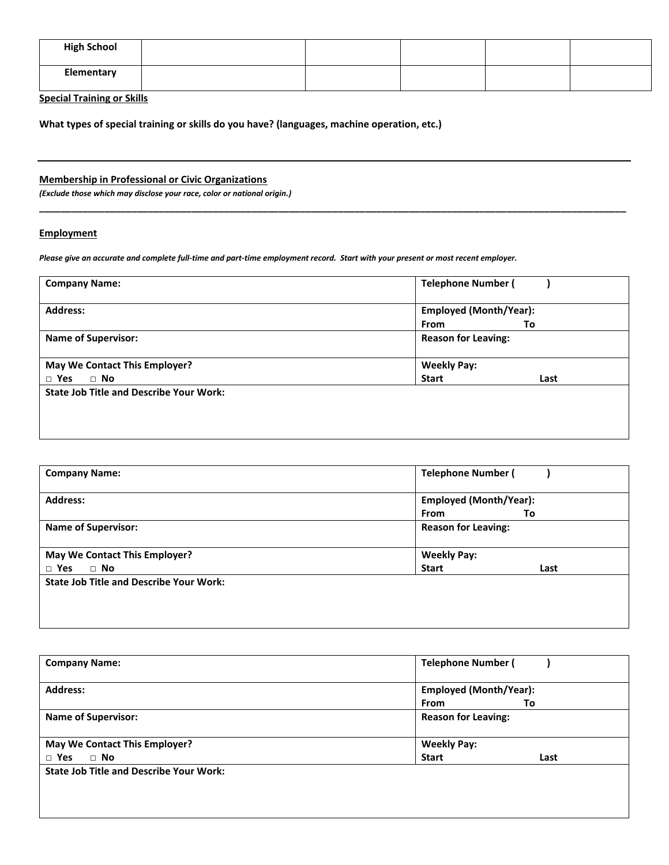| <b>High School</b> |  |  |  |
|--------------------|--|--|--|
| Elementary         |  |  |  |

**Special Training or Skills**

**What types of special training or skills do you have? (languages, machine operation, etc.)**

### **Membership in Professional or Civic Organizations**

*(Exclude those which may disclose your race, color or national origin.)*

# **Employment**

*Please give an accurate and complete full-time and part-time employment record. Start with your present or most recent employer.*

| <b>Company Name:</b>                           | <b>Telephone Number (</b>     |      |
|------------------------------------------------|-------------------------------|------|
| <b>Address:</b>                                | <b>Employed (Month/Year):</b> |      |
|                                                | <b>From</b>                   | To   |
| <b>Name of Supervisor:</b>                     | <b>Reason for Leaving:</b>    |      |
| May We Contact This Employer?                  | <b>Weekly Pay:</b>            |      |
| $\Box$ No<br>$\Box$ Yes                        | <b>Start</b>                  | Last |
| <b>State Job Title and Describe Your Work:</b> |                               |      |
|                                                |                               |      |
|                                                |                               |      |
|                                                |                               |      |

**\_\_\_\_\_\_\_\_\_\_\_\_\_\_\_\_\_\_\_\_\_\_\_\_\_\_\_\_\_\_\_\_\_\_\_\_\_\_\_\_\_\_\_\_\_\_\_\_\_\_\_\_\_\_\_\_\_\_\_\_\_\_\_\_\_\_\_\_\_\_\_\_\_\_\_\_\_\_\_\_\_\_\_\_\_\_\_\_\_\_\_\_\_\_\_\_\_\_\_\_\_\_\_\_\_\_\_\_**

| <b>Company Name:</b>                           | <b>Telephone Number (</b>     |
|------------------------------------------------|-------------------------------|
| <b>Address:</b>                                | <b>Employed (Month/Year):</b> |
|                                                | From<br>То                    |
| <b>Name of Supervisor:</b>                     | <b>Reason for Leaving:</b>    |
|                                                |                               |
| May We Contact This Employer?                  | <b>Weekly Pay:</b>            |
| $\Box$ Yes<br>$\Box$ No                        | <b>Start</b><br>Last          |
| <b>State Job Title and Describe Your Work:</b> |                               |
|                                                |                               |
|                                                |                               |
|                                                |                               |

| <b>Company Name:</b>                           | <b>Telephone Number (</b>                          |
|------------------------------------------------|----------------------------------------------------|
| <b>Address:</b>                                | <b>Employed (Month/Year):</b><br><b>From</b><br>To |
| <b>Name of Supervisor:</b>                     | <b>Reason for Leaving:</b>                         |
| May We Contact This Employer?                  | <b>Weekly Pay:</b>                                 |
| $\Box$ Yes<br>$\Box$ No                        | <b>Start</b><br>Last                               |
| <b>State Job Title and Describe Your Work:</b> |                                                    |
|                                                |                                                    |
|                                                |                                                    |
|                                                |                                                    |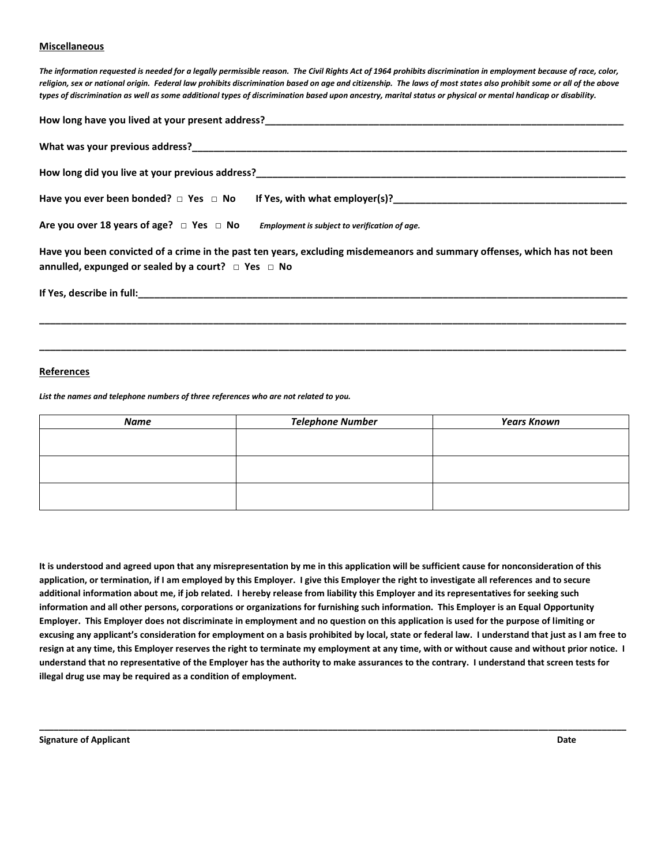#### **Miscellaneous**

*The information requested is needed for a legally permissible reason. The Civil Rights Act of 1964 prohibits discrimination in employment because of race, color, religion, sex or national origin. Federal law prohibits discrimination based on age and citizenship. The laws of most states also prohibit some or all of the above types of discrimination as well as some additional types of discrimination based upon ancestry, marital status or physical or mental handicap or disability.*

| How long have you lived at your present address?<br>The matter of the contract of the contract of the contract of the contract of the contract of the contract of                                                                |
|----------------------------------------------------------------------------------------------------------------------------------------------------------------------------------------------------------------------------------|
|                                                                                                                                                                                                                                  |
| How long did you live at your previous address?<br>The manufacturer of the contract of the contract of the contract of the contract of the contract of the contract of the contract of the contract of the contract of the contr |
| Have you ever been bonded? $\Box$ Yes $\Box$ No If Yes, with what employer(s)?<br>Have you ever been bonded? $\Box$ Yes $\Box$ No If Yes, with what employer(s)?                                                                 |
| Are you over 18 years of age? $\Box$ Yes $\Box$ No Employment is subject to verification of age.                                                                                                                                 |
| Have you been convicted of a crime in the past ten years, excluding misdemeanors and summary offenses, which has not been<br>annulled, expunged or sealed by a court? $\Box$ Yes $\Box$ No                                       |
|                                                                                                                                                                                                                                  |
|                                                                                                                                                                                                                                  |

#### **References**

*List the names and telephone numbers of three references who are not related to you.*

| Name | <b>Telephone Number</b> | <b>Years Known</b> |
|------|-------------------------|--------------------|
|      |                         |                    |
|      |                         |                    |
|      |                         |                    |
|      |                         |                    |
|      |                         |                    |
|      |                         |                    |

**\_\_\_\_\_\_\_\_\_\_\_\_\_\_\_\_\_\_\_\_\_\_\_\_\_\_\_\_\_\_\_\_\_\_\_\_\_\_\_\_\_\_\_\_\_\_\_\_\_\_\_\_\_\_\_\_\_\_\_\_\_\_\_\_\_\_\_\_\_\_\_\_\_\_\_\_\_\_\_\_\_\_\_\_\_\_\_\_\_\_\_\_\_\_\_\_\_\_\_\_\_\_\_\_\_\_\_\_**

**It is understood and agreed upon that any misrepresentation by me in this application will be sufficient cause for nonconsideration of this application, or termination, if I am employed by this Employer. I give this Employer the right to investigate all references and to secure additional information about me, if job related. I hereby release from liability this Employer and its representatives for seeking such information and all other persons, corporations or organizations for furnishing such information. This Employer is an Equal Opportunity Employer. This Employer does not discriminate in employment and no question on this application is used for the purpose of limiting or excusing any applicant's consideration for employment on a basis prohibited by local, state or federal law. I understand that just as I am free to resign at any time, this Employer reserves the right to terminate my employment at any time, with or without cause and without prior notice. I understand that no representative of the Employer has the authority to make assurances to the contrary. I understand that screen tests for illegal drug use may be required as a condition of employment.**

**\_\_\_\_\_\_\_\_\_\_\_\_\_\_\_\_\_\_\_\_\_\_\_\_\_\_\_\_\_\_\_\_\_\_\_\_\_\_\_\_\_\_\_\_\_\_\_\_\_\_\_\_\_\_\_\_\_\_\_\_\_\_\_\_\_\_\_\_\_\_\_\_\_\_\_\_\_\_\_\_\_\_\_\_\_\_\_\_\_\_\_\_\_\_\_\_\_\_\_\_\_\_\_\_\_\_\_\_\_\_\_\_\_\_\_\_\_\_\_\_**